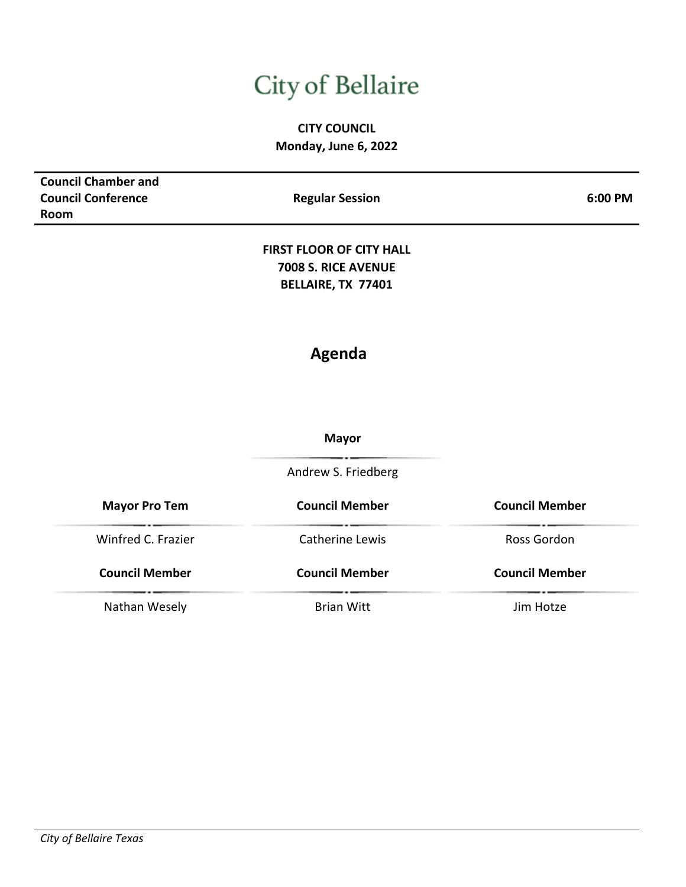# City of Bellaire

# **CITY COUNCIL Monday, June 6, 2022**

| <b>Council Chamber and</b> |                                 |                       |
|----------------------------|---------------------------------|-----------------------|
| <b>Council Conference</b>  | <b>Regular Session</b>          | 6:00 PM               |
| Room                       |                                 |                       |
|                            |                                 |                       |
|                            | <b>FIRST FLOOR OF CITY HALL</b> |                       |
|                            | 7008 S. RICE AVENUE             |                       |
|                            | BELLAIRE, TX 77401              |                       |
|                            |                                 |                       |
|                            |                                 |                       |
|                            | <b>Agenda</b>                   |                       |
|                            |                                 |                       |
|                            |                                 |                       |
|                            | <b>Mayor</b>                    |                       |
|                            | Andrew S. Friedberg             |                       |
|                            |                                 |                       |
| <b>Mayor Pro Tem</b>       | <b>Council Member</b>           | <b>Council Member</b> |
| Winfred C. Frazier         | Catherine Lewis                 | Ross Gordon           |
| <b>Council Member</b>      | <b>Council Member</b>           | <b>Council Member</b> |
|                            |                                 |                       |
| Nathan Wesely              | <b>Brian Witt</b>               | Jim Hotze             |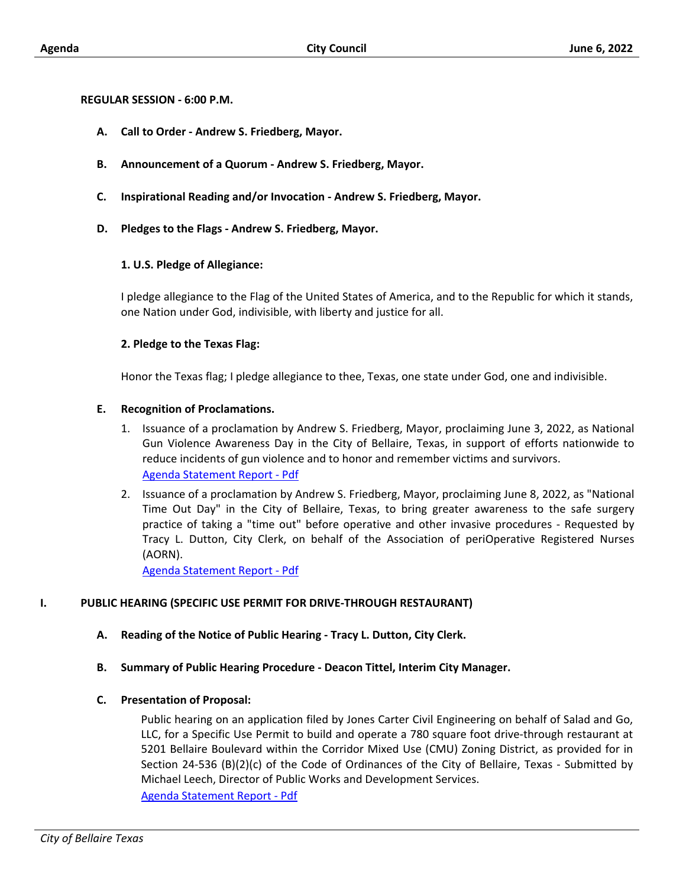#### **REGULAR SESSION - 6:00 P.M.**

- **A. Call to Order Andrew S. Friedberg, Mayor.**
- **B. Announcement of a Quorum Andrew S. Friedberg, Mayor.**
- **C. Inspirational Reading and/or Invocation Andrew S. Friedberg, Mayor.**
- **D. Pledges to the Flags Andrew S. Friedberg, Mayor.**

#### **1. U.S. Pledge of Allegiance:**

I pledge allegiance to the Flag of the United States of America, and to the Republic for which it stands, one Nation under God, indivisible, with liberty and justice for all.

# **2. Pledge to the Texas Flag:**

Honor the Texas flag; I pledge allegiance to thee, Texas, one state under God, one and indivisible.

#### **E. Recognition of Proclamations.**

- 1. Issuance of a proclamation by Andrew S. Friedberg, Mayor, proclaiming June 3, 2022, as National Gun Violence Awareness Day in the City of Bellaire, Texas, in support of efforts nationwide to reduce incidents of gun violence and to honor and remember victims and survivors. [Agenda Statement Report - Pdf](http://bellairetx.civicweb.net/document/43487/_p%20style=_text-align_justify;__Issuance%20of%20a%20pr.pdf?handle=0ADF5DF4B5B54A978F8BFC26882ADFCA)
- 2. Issuance of a proclamation by Andrew S. Friedberg, Mayor, proclaiming June 8, 2022, as "National Time Out Day" in the City of Bellaire, Texas, to bring greater awareness to the safe surgery practice of taking a "time out" before operative and other invasive procedures - Requested by Tracy L. Dutton, City Clerk, on behalf of the Association of periOperative Registered Nurses (AORN).

[Agenda Statement Report - Pdf](http://bellairetx.civicweb.net/document/43492/_p%20style=_text-align_justify;__Issuance%20of%20a%20pr.pdf?handle=59667D95AE7E4D11912DAEDC7F547ADC)

#### **I. PUBLIC HEARING (SPECIFIC USE PERMIT FOR DRIVE-THROUGH RESTAURANT)**

- **A. Reading of the Notice of Public Hearing Tracy L. Dutton, City Clerk.**
- **B. Summary of Public Hearing Procedure Deacon Tittel, Interim City Manager.**

#### **C. Presentation of Proposal:**

Public hearing on an application filed by Jones Carter Civil Engineering on behalf of Salad and Go, LLC, for a Specific Use Permit to build and operate a 780 square foot drive-through restaurant at 5201 Bellaire Boulevard within the Corridor Mixed Use (CMU) Zoning District, as provided for in Section 24-536 (B)(2)(c) of the Code of Ordinances of the City of Bellaire, Texas - Submitted by Michael Leech, Director of Public Works and Development Services. [Agenda Statement Report - Pdf](http://bellairetx.civicweb.net/document/43402/_p%20style=_text-align_justify;___span%20class=_fon.pdf?handle=EA5E2502B70F4B89A7981CB80A3C5AC4)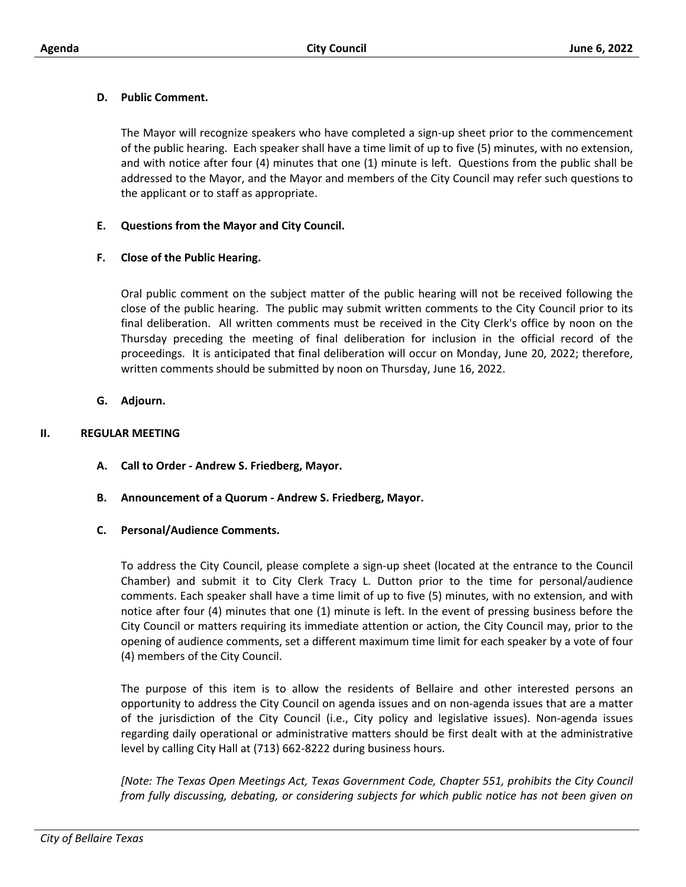# **D. Public Comment.**

The Mayor will recognize speakers who have completed a sign-up sheet prior to the commencement of the public hearing. Each speaker shall have a time limit of up to five (5) minutes, with no extension, and with notice after four (4) minutes that one (1) minute is left. Questions from the public shall be addressed to the Mayor, and the Mayor and members of the City Council may refer such questions to the applicant or to staff as appropriate.

# **E. Questions from the Mayor and City Council.**

# **F. Close of the Public Hearing.**

Oral public comment on the subject matter of the public hearing will not be received following the close of the public hearing. The public may submit written comments to the City Council prior to its final deliberation. All written comments must be received in the City Clerk's office by noon on the Thursday preceding the meeting of final deliberation for inclusion in the official record of the proceedings. It is anticipated that final deliberation will occur on Monday, June 20, 2022; therefore, written comments should be submitted by noon on Thursday, June 16, 2022.

**G. Adjourn.**

# **II. REGULAR MEETING**

- **A. Call to Order Andrew S. Friedberg, Mayor.**
- **B. Announcement of a Quorum Andrew S. Friedberg, Mayor.**
- **C. Personal/Audience Comments.**

To address the City Council, please complete a sign-up sheet (located at the entrance to the Council Chamber) and submit it to City Clerk Tracy L. Dutton prior to the time for personal/audience comments. Each speaker shall have a time limit of up to five (5) minutes, with no extension, and with notice after four (4) minutes that one (1) minute is left. In the event of pressing business before the City Council or matters requiring its immediate attention or action, the City Council may, prior to the opening of audience comments, set a different maximum time limit for each speaker by a vote of four (4) members of the City Council.

The purpose of this item is to allow the residents of Bellaire and other interested persons an opportunity to address the City Council on agenda issues and on non-agenda issues that are a matter of the jurisdiction of the City Council (i.e., City policy and legislative issues). Non-agenda issues regarding daily operational or administrative matters should be first dealt with at the administrative level by calling City Hall at (713) 662-8222 during business hours.

*[Note: The Texas Open Meetings Act, Texas Government Code, Chapter 551, prohibits the City Council from fully discussing, debating, or considering subjects for which public notice has not been given on*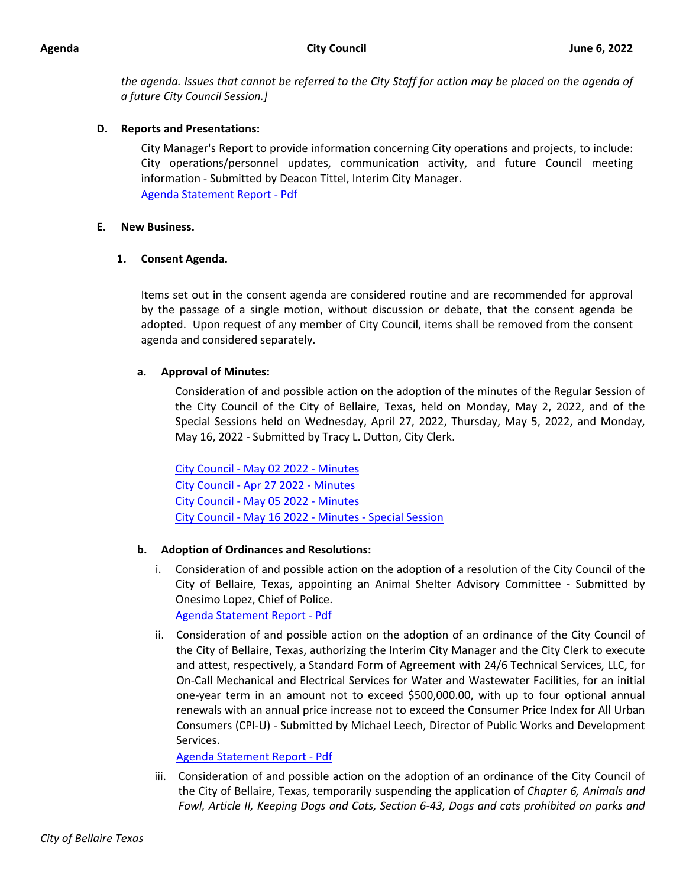*the agenda. Issues that cannot be referred to the City Staff for action may be placed on the agenda of a future City Council Session.]*

# **D. Reports and Presentations:**

City Manager's Report to provide information concerning City operations and projects, to include: City operations/personnel updates, communication activity, and future Council meeting information - Submitted by Deacon Tittel, Interim City Manager. [Agenda Statement Report - Pdf](http://bellairetx.civicweb.net/document/43479/_p%20style=_text-align_justify;__City%20Manager_s%20R.pdf?handle=9DFA0E639B7447BDB2BF502F7AA85B14)

#### **E. New Business.**

# **1. Consent Agenda.**

Items set out in the consent agenda are considered routine and are recommended for approval by the passage of a single motion, without discussion or debate, that the consent agenda be adopted. Upon request of any member of City Council, items shall be removed from the consent agenda and considered separately.

# **a. Approval of Minutes:**

Consideration of and possible action on the adoption of the minutes of the Regular Session of the City Council of the City of Bellaire, Texas, held on Monday, May 2, 2022, and of the Special Sessions held on Wednesday, April 27, 2022, Thursday, May 5, 2022, and Monday, May 16, 2022 - Submitted by Tracy L. Dutton, City Clerk.

[City Council - May 02 2022 - Minutes](http://bellairetx.civicweb.net/document/43533/City%20Council%20-%20May%2002%202022%20-%20Minutes%20-%20Final.docx?handle=74F08306899440C78C61402E3C6B37F8) [City Council - Apr 27 2022 - Minutes](http://bellairetx.civicweb.net/document/43521/City%20Council%20-%20Apr%2027%202022%20-%20Minutes%20-%20Final.docx?handle=60120D590FF343A4993573B362EFD7EF) [City Council - May 05 2022 - Minutes](http://bellairetx.civicweb.net/document/43522/City%20Council%20-%20May%2005%202022%20-%20Minutes%20-%20Final.docx?handle=10A560395B4C497BBAE7984A3D4CDA01) [City Council - May 16 2022 - Minutes - Special Session](http://bellairetx.civicweb.net/document/43523/City%20Council%20-%20May%2016%202022%20-%20Minutes%20-%20Special%20Ses.docx?handle=631ECD313AE947DD904904EDCE5CCCA8)

#### **b. Adoption of Ordinances and Resolutions:**

i. Consideration of and possible action on the adoption of a resolution of the City Council of the City of Bellaire, Texas, appointing an Animal Shelter Advisory Committee - Submitted by Onesimo Lopez, Chief of Police.

[Agenda Statement Report - Pdf](http://bellairetx.civicweb.net/document/43468/_p%20style=_text-align_justify;__Consideration%20of.pdf?handle=8236EFB2C18A4EBC9547CFBEA60D947D)

ii. Consideration of and possible action on the adoption of an ordinance of the City Council of the City of Bellaire, Texas, authorizing the Interim City Manager and the City Clerk to execute and attest, respectively, a Standard Form of Agreement with 24/6 Technical Services, LLC, for On-Call Mechanical and Electrical Services for Water and Wastewater Facilities, for an initial one-year term in an amount not to exceed \$500,000.00, with up to four optional annual renewals with an annual price increase not to exceed the Consumer Price Index for All Urban Consumers (CPI-U) - Submitted by Michael Leech, Director of Public Works and Development Services.

[Agenda Statement Report - Pdf](http://bellairetx.civicweb.net/document/43359/_p%20style=_text-align_justify;___span%20style=_fon.pdf?handle=FFDE08F7A76F46AEB0898992E71F26FA)

iii. Consideration of and possible action on the adoption of an ordinance of the City Council of the City of Bellaire, Texas, temporarily suspending the application of *Chapter 6, Animals and Fowl, Article II, Keeping Dogs and Cats, Section 6-43, Dogs and cats prohibited on parks and*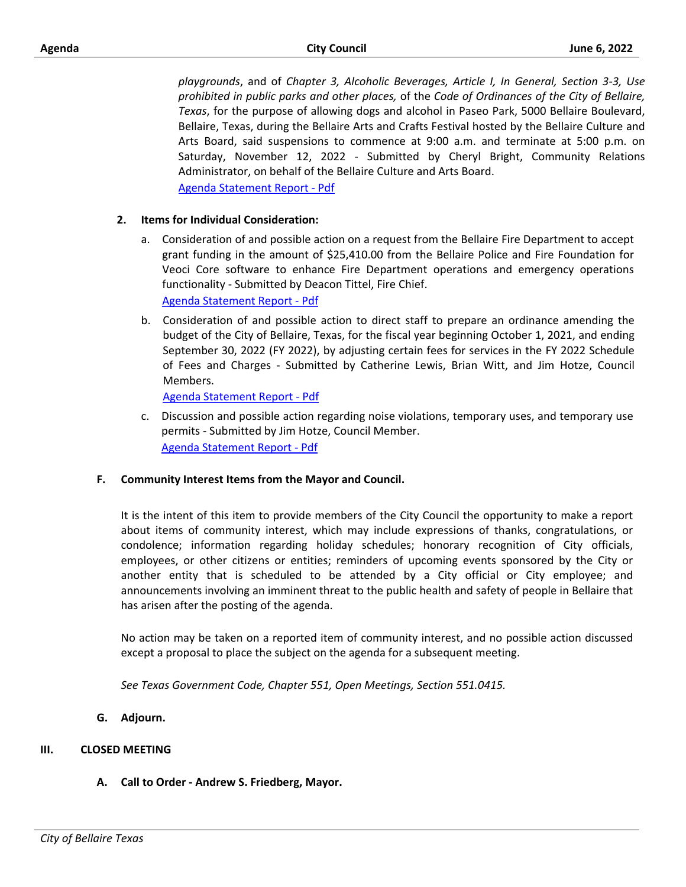*playgrounds*, and of *Chapter 3, Alcoholic Beverages, Article I, In General, Section 3-3, Use prohibited in public parks and other places,* of the *Code of Ordinances of the City of Bellaire, Texas*, for the purpose of allowing dogs and alcohol in Paseo Park, 5000 Bellaire Boulevard, Bellaire, Texas, during the Bellaire Arts and Crafts Festival hosted by the Bellaire Culture and Arts Board, said suspensions to commence at 9:00 a.m. and terminate at 5:00 p.m. on Saturday, November 12, 2022 - Submitted by Cheryl Bright, Community Relations Administrator, on behalf of the Bellaire Culture and Arts Board. [Agenda Statement Report - Pdf](http://bellairetx.civicweb.net/document/43476/_p%20class=_Normal2_%20style=_text-align_justify;__.pdf?handle=44F0777CEACF481BA49DB069C3806233)

#### **2. Items for Individual Consideration:**

- a. Consideration of and possible action on a request from the Bellaire Fire Department to accept grant funding in the amount of \$25,410.00 from the Bellaire Police and Fire Foundation for Veoci Core software to enhance Fire Department operations and emergency operations functionality - Submitted by Deacon Tittel, Fire Chief. [Agenda Statement Report - Pdf](http://bellairetx.civicweb.net/document/43432/_p%20style=_text-align_justify;__Consideration%20of.pdf?handle=19FFA45F5E8448229C6A0FD3F14C0F09)
- b. Consideration of and possible action to direct staff to prepare an ordinance amending the budget of the City of Bellaire, Texas, for the fiscal year beginning October 1, 2021, and ending September 30, 2022 (FY 2022), by adjusting certain fees for services in the FY 2022 Schedule of Fees and Charges - Submitted by Catherine Lewis, Brian Witt, and Jim Hotze, Council Members.

[Agenda Statement Report - Pdf](http://bellairetx.civicweb.net/document/43501/_p%20style=_text-align_justify;__Consideration%20of.pdf?handle=F093E29F482B444899A845146409EC6C)

c. Discussion and possible action regarding noise violations, temporary uses, and temporary use permits - Submitted by Jim Hotze, Council Member. [Agenda Statement Report - Pdf](http://bellairetx.civicweb.net/document/43497/_p%20style=_text-align_justify;__Discussion%20and%20p.pdf?handle=922143914C8A4C91BEE9A05C92979999)

#### **F. Community Interest Items from the Mayor and Council.**

It is the intent of this item to provide members of the City Council the opportunity to make a report about items of community interest, which may include expressions of thanks, congratulations, or condolence; information regarding holiday schedules; honorary recognition of City officials, employees, or other citizens or entities; reminders of upcoming events sponsored by the City or another entity that is scheduled to be attended by a City official or City employee; and announcements involving an imminent threat to the public health and safety of people in Bellaire that has arisen after the posting of the agenda.

No action may be taken on a reported item of community interest, and no possible action discussed except a proposal to place the subject on the agenda for a subsequent meeting.

*See Texas Government Code, Chapter 551, Open Meetings, Section 551.0415.*

**G. Adjourn.**

#### **III. CLOSED MEETING**

**A. Call to Order - Andrew S. Friedberg, Mayor.**